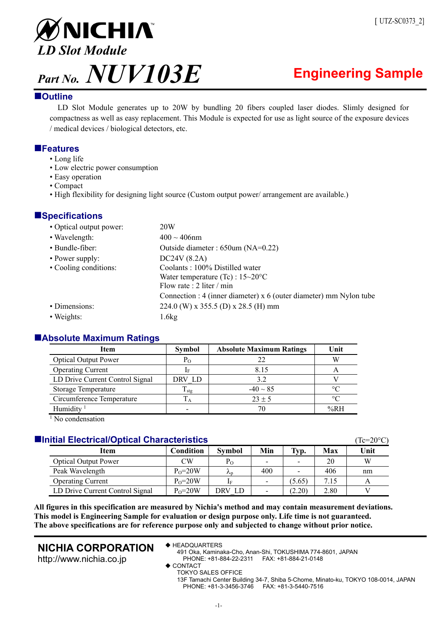

# **Outline**

LD Slot Module generates up to 20W by bundling 20 fibers coupled laser diodes. Slimly designed for compactness as well as easy replacement. This Module is expected for use as light source of the exposure devices / medical devices / biological detectors, etc.

# **Features**

- Long life
- Low electric power consumption
- Easy operation
- Compact
- High flexibility for designing light source (Custom output power/ arrangement are available.)

# **Specifications**

| • Optical output power: | 20W                                                                  |
|-------------------------|----------------------------------------------------------------------|
| • Wavelength:           | $400 \sim 406$ nm                                                    |
| • Bundle-fiber:         | Outside diameter : 650um (NA=0.22)                                   |
| • Power supply:         | DC24V (8.2A)                                                         |
| • Cooling conditions:   | Coolants: 100% Distilled water                                       |
|                         | Water temperature (Tc) : $15\text{--}20^{\circ}\text{C}$             |
|                         | Flow rate : $2$ liter / min                                          |
|                         | Connection : 4 (inner diameter) $x$ 6 (outer diameter) mm Nylon tube |
| • Dimensions:           | 224.0 (W) x 355.5 (D) x 28.5 (H) mm                                  |
| • Weights:              | 1.6kg                                                                |

# **Absolute Maximum Ratings**

| Item                            | <b>Symbol</b> | <b>Absolute Maximum Ratings</b> | Unit            |  |  |  |  |
|---------------------------------|---------------|---------------------------------|-----------------|--|--|--|--|
| <b>Optical Output Power</b>     | Po            | 22                              | W               |  |  |  |  |
| <b>Operating Current</b>        |               | 8.15                            |                 |  |  |  |  |
| LD Drive Current Control Signal | DRV LD        | 3.2                             |                 |  |  |  |  |
| <b>Storage Temperature</b>      | $T_{\rm stg}$ | $-40 \sim 85$                   | $\circ$ C       |  |  |  |  |
| Circumference Temperature       | LА            | $23 \pm 5$                      | $\rm ^{\circ}C$ |  |  |  |  |
| Humidity <sup>1</sup>           |               |                                 | % $R$ H         |  |  |  |  |
| .                               |               |                                 |                 |  |  |  |  |

<sup>1</sup> No condensation

# **Initial Electrical/Optical Characteristics** (Tc=20C)

|                                 |             |                   |     |        |      | 10 U U |
|---------------------------------|-------------|-------------------|-----|--------|------|--------|
| Item                            | Condition   | <b>Symbol</b>     | Min | Typ.   | Max  | Unit   |
| <b>Optical Output Power</b>     | СW          | Po                |     |        | 20   | W      |
| Peak Wavelength                 | $P_0 = 20W$ | $\lambda_{\rm D}$ | 400 |        | 406  | nm     |
| <b>Operating Current</b>        | $Po=20W$    | ΙF                |     | (5.65) | 7.15 |        |
| LD Drive Current Control Signal | $P_0 = 20W$ | DRV LD            |     | (2.20) | 2.80 |        |

**All figures in this specification are measured by Nichia's method and may contain measurement deviations. This model is Engineering Sample for evaluation or design purpose only. Life time is not guaranteed. The above specifications are for reference purpose only and subjected to change without prior notice.** 

# **NICHIA CORPORATION**

http://www.nichia.co.jp

◆ HEADQUARTERS

491 Oka, Kaminaka-Cho, Anan-Shi, TOKUSHIMA 774-8601, JAPAN PHONE: +81-884-22-2311 FAX: +81-884-21-0148

 $\triangle$  CONTACT

TOKYO SALES OFFICE

13F Tamachi Center Building 34-7, Shiba 5-Chome, Minato-ku, TOKYO 108-0014, JAPAN PHONE: +81-3-3456-3746 FAX: +81-3-5440-7516